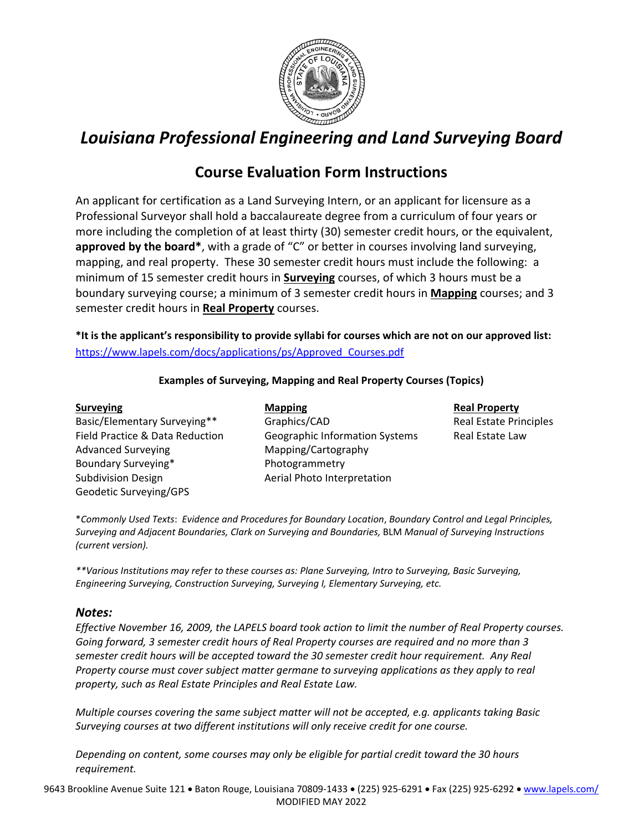

# *Louisiana Professional Engineering and Land Surveying Board*

## **Course Evaluation Form Instructions**

An applicant for certification as a Land Surveying Intern, or an applicant for licensure as a Professional Surveyor shall hold a baccalaureate degree from a curriculum of four years or more including the completion of at least thirty (30) semester credit hours, or the equivalent, **approved by the board\***, with a grade of "C" or better in courses involving land surveying, mapping, and real property. These 30 semester credit hours must include the following: a minimum of 15 semester credit hours in **Surveying** courses, of which 3 hours must be a boundary surveying course; a minimum of 3 semester credit hours in **Mapping** courses; and 3 semester credit hours in **Real Property** courses.

**\*It is the applicant's responsibility to provide syllabi for courses which are not on our approved list:**  https://www.lapels.com/docs/applications/ps/Approved\_Courses.pdf

#### **Examples of Surveying, Mapping and Real Property Courses (Topics)**

#### **Surveying Mapping Mapping Real Property** Basic/Elementary Surveying\*\* Graphics/CAD Real Estate Principles Field Practice & Data Reduction Geographic Information Systems Real Estate Law Advanced Surveying **Mapping/Cartography** Boundary Surveying\* **Example 2** Photogrammetry Subdivision Design **Austice Interpretation** Aerial Photo Interpretation Geodetic Surveying/GPS

\**Commonly Used Texts*: *Evidence and Procedures for Boundary Location*, *Boundary Control and Legal Principles, Surveying and Adjacent Boundaries, Clark on Surveying and Boundaries,* BLM *Manual of Surveying Instructions (current version).* 

*\*\*Various Institutions may refer to these courses as: Plane Surveying, Intro to Surveying, Basic Surveying, Engineering Surveying, Construction Surveying, Surveying I, Elementary Surveying, etc.* 

#### *Notes:*

*Effective November 16, 2009, the LAPELS board took action to limit the number of Real Property courses. Going forward, 3 semester credit hours of Real Property courses are required and no more than 3 semester credit hours will be accepted toward the 30 semester credit hour requirement. Any Real Property course must cover subject matter germane to surveying applications as they apply to real property, such as Real Estate Principles and Real Estate Law.* 

*Multiple courses covering the same subject matter will not be accepted, e.g. applicants taking Basic Surveying courses at two different institutions will only receive credit for one course.* 

*Depending on content, some courses may only be eligible for partial credit toward the 30 hours requirement.*